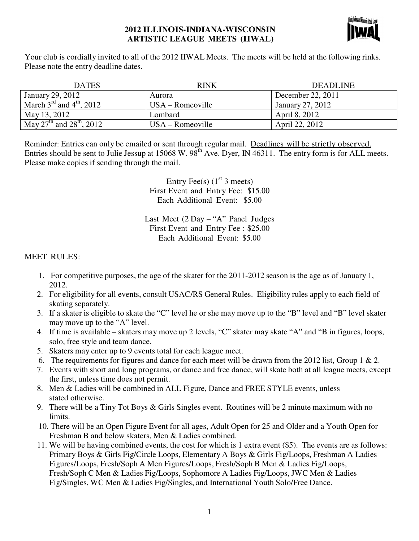#### **2012 ILLINOIS-INDIANA-WISCONSIN ARTISTIC LEAGUE MEETS (IIWAL)**



Your club is cordially invited to all of the 2012 IIWAL Meets. The meets will be held at the following rinks. Please note the entry deadline dates.

| <b>DATES</b>                                     | RINK               | <b>DEADLINE</b>   |
|--------------------------------------------------|--------------------|-------------------|
| January 29, 2012                                 | Aurora             | December 22, 2011 |
| March $3^{\text{rd}}$ and $4^{\text{th}}$ , 2012 | $USA - Romeoville$ | January 27, 2012  |
| May 13, 2012                                     | Lombard            | April 8, 2012     |
| May $27^{th}$ and $28^{th}$ , $2012$             | $USA - Romeoville$ | April 22, 2012    |

Reminder: Entries can only be emailed or sent through regular mail. Deadlines will be strictly observed. Entries should be sent to Julie Jessup at  $15068 \text{ W}$ .  $98^{\text{th}}$  Ave. Dyer, IN 46311. The entry form is for ALL meets. Please make copies if sending through the mail.

> Entry Fee(s)  $(1<sup>st</sup> 3 meets)$ First Event and Entry Fee: \$15.00 Each Additional Event: \$5.00

Last Meet (2 Day – "A" Panel Judges First Event and Entry Fee : \$25.00 Each Additional Event: \$5.00

#### MEET RULES:

- 1. For competitive purposes, the age of the skater for the 2011-2012 season is the age as of January 1, 2012.
- 2. For eligibility for all events, consult USAC/RS General Rules. Eligibility rules apply to each field of skating separately.
- 3. If a skater is eligible to skate the "C" level he or she may move up to the "B" level and "B" level skater may move up to the "A" level.
- 4. If time is available skaters may move up 2 levels, "C" skater may skate "A" and "B in figures, loops, solo, free style and team dance.
- 5. Skaters may enter up to 9 events total for each league meet.
- 6. The requirements for figures and dance for each meet will be drawn from the 2012 list, Group 1 & 2.
- 7. Events with short and long programs, or dance and free dance, will skate both at all league meets, except the first, unless time does not permit.
- 8. Men & Ladies will be combined in ALL Figure, Dance and FREE STYLE events, unless stated otherwise.
- 9. There will be a Tiny Tot Boys & Girls Singles event. Routines will be 2 minute maximum with no limits.
- 10. There will be an Open Figure Event for all ages, Adult Open for 25 and Older and a Youth Open for Freshman B and below skaters, Men & Ladies combined.
- 11. We will be having combined events, the cost for which is 1 extra event (\$5). The events are as follows: Primary Boys & Girls Fig/Circle Loops, Elementary A Boys & Girls Fig/Loops, Freshman A Ladies Figures/Loops, Fresh/Soph A Men Figures/Loops, Fresh/Soph B Men & Ladies Fig/Loops, Fresh/Soph C Men & Ladies Fig/Loops, Sophomore A Ladies Fig/Loops, JWC Men & Ladies Fig/Singles, WC Men & Ladies Fig/Singles, and International Youth Solo/Free Dance.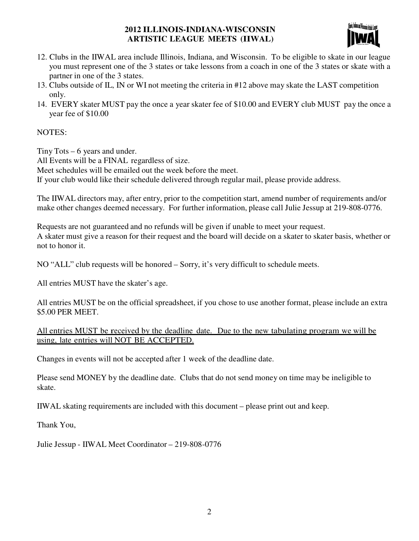### **2012 ILLINOIS-INDIANA-WISCONSIN ARTISTIC LEAGUE MEETS (IIWAL)**



- 12. Clubs in the IIWAL area include Illinois, Indiana, and Wisconsin. To be eligible to skate in our league you must represent one of the 3 states or take lessons from a coach in one of the 3 states or skate with a partner in one of the 3 states.
- 13. Clubs outside of IL, IN or WI not meeting the criteria in #12 above may skate the LAST competition only.
- 14. EVERY skater MUST pay the once a year skater fee of \$10.00 and EVERY club MUST pay the once a year fee of \$10.00

### NOTES:

Tiny Tots – 6 years and under. All Events will be a FINAL regardless of size. Meet schedules will be emailed out the week before the meet. If your club would like their schedule delivered through regular mail, please provide address.

The IIWAL directors may, after entry, prior to the competition start, amend number of requirements and/or make other changes deemed necessary. For further information, please call Julie Jessup at 219-808-0776.

Requests are not guaranteed and no refunds will be given if unable to meet your request. A skater must give a reason for their request and the board will decide on a skater to skater basis, whether or not to honor it.

NO "ALL" club requests will be honored – Sorry, it's very difficult to schedule meets.

All entries MUST have the skater's age.

All entries MUST be on the official spreadsheet, if you chose to use another format, please include an extra \$5.00 PER MEET.

All entries MUST be received by the deadline date. Due to the new tabulating program we will be using, late entries will NOT BE ACCEPTED.

Changes in events will not be accepted after 1 week of the deadline date.

Please send MONEY by the deadline date. Clubs that do not send money on time may be ineligible to skate.

IIWAL skating requirements are included with this document – please print out and keep.

Thank You,

Julie Jessup - IIWAL Meet Coordinator – 219-808-0776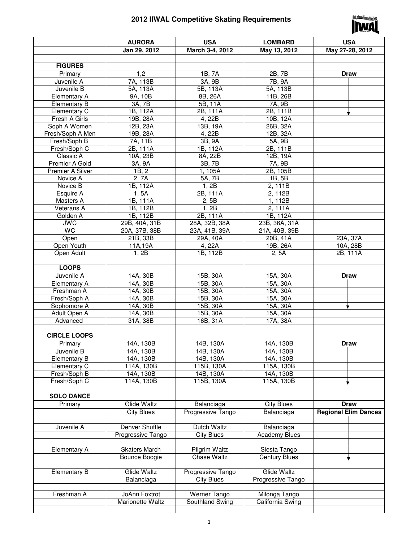# **2012 IIWAL Competitive Skating Requirements**



|                       | <b>AURORA</b>        | <b>USA</b>        | <b>LOMBARD</b>       | <b>USA</b>                  |
|-----------------------|----------------------|-------------------|----------------------|-----------------------------|
|                       | Jan 29, 2012         | March 3-4, 2012   | May 13, 2012         | May 27-28, 2012             |
|                       |                      |                   |                      |                             |
| <b>FIGURES</b>        |                      |                   |                      |                             |
|                       |                      |                   | 2B, 7B               |                             |
| Primary               | 1,2                  | 1B, 7A            |                      | <b>Draw</b>                 |
| Juvenile A            | 7A, 113B             | 3A, 9B            | 7B, 9A               |                             |
| Juvenile B            | 5A, 113A             | 5B, 113A          | 5A, 113B             |                             |
| <b>Elementary A</b>   | 9A, 10B              | 8B, 26A           | 11B, 26B             |                             |
| <b>Elementary B</b>   | 3A, 7B               | 5B, 11A           | 7A, 9B               |                             |
| Elementary C          | 1B, 112A             | 2B, 111A          | 2B, 111B             |                             |
| Fresh A Girls         | 19B, 28A             | 4, 22B            | 10B, 12A             |                             |
| Soph A Women          | 12B, 23A             | 13B, 19A          | 26B, 32A             |                             |
| Fresh/Soph A Men      | 19B, 28A             | 4, 22B            | 12B, 32A             |                             |
| Fresh/Soph B          | 7A, 11B              | 3B, 9A            | 5A, 9B               |                             |
| Fresh/Soph C          | 2B, 111A             | 1B, 112A          | 2B, 111B             |                             |
| Classic A             | 10A, 23B             | 8A, 22B           | 12B, 19A             |                             |
| Premier A Gold        | 3A, 9A               | 3B, 7B            | 7A, 9B               |                             |
| Premier A Silver      | 1B, 2                | 1, 105A           | 2B, 105B             |                             |
| Novice A              | 2, 7A                | 5A, 7B            | 1B, 5B               |                             |
| Novice B              | 1B, 112A             | 1, 2B             | 2, 111B              |                             |
| Esquire A             | 1, 5A                | 2B, 111A          | 2, 112B              |                             |
| Masters A             | 1B, 111A             | 2, 5B             | 1, 112B              |                             |
| Veterans A            | 1B, 112B             | 1, 2B             | 2, 111A              |                             |
| Golden A              | 1B, 112B             | 2B, 111A          | 1B, 112A             |                             |
| <b>JWC</b>            | 29B, 40A, 31B        | 28A, 32B, 38A     | 23B, 36A, 31A        |                             |
| <b>WC</b>             | 20A, 37B, 38B        | 23A, 41B, 39A     | 21A, 40B, 39B        |                             |
| Open                  | 21B, 33B             | 29A, 40A          | 20B, 41A             | 23A, 37A                    |
| Open Youth            | 11A,19A              | 4, 22A            | 19B, 26A             | 10A, 28B                    |
| Open Adult            | 1, 2B                | 1B, 112B          | 2, 5A                | 2B, 111A                    |
|                       |                      |                   |                      |                             |
| <b>LOOPS</b>          |                      |                   |                      |                             |
| Juvenile A            | 14A, 30B             | 15B, 30A          | 15A, 30A             | <b>Draw</b>                 |
| Elementary A          | 14A, 30B             | 15B, 30A          | 15A, 30A             |                             |
| Freshman A            | 14A, 30B             | 15B, 30A          | 15A, 30A             |                             |
| Fresh/Soph A          | 14A, 30B             | 15B, 30A          | 15A, 30A             |                             |
| Sophomore A           | 14A, 30B             | 15B, 30A          | 15A, 30A             |                             |
| Adult Open A          | 14A, 30B             | 15B, 30A          | 15A, 30A             |                             |
| Advanced              | 31A, 38B             | 16B, 31A          | 17A, 38A             |                             |
|                       |                      |                   |                      |                             |
| <b>CIRCLE LOOPS</b>   |                      |                   |                      |                             |
|                       |                      | 14B, 130A         | 14A, 130B            | Draw                        |
| Primary<br>Juvenile B | 14A, 130B            |                   |                      |                             |
|                       | 14A, 130B            | 14B, 130A         | 14A, 130B            |                             |
| <b>Elementary B</b>   | 14A, 130B            | 14B, 130A         | 14A, 130B            |                             |
| Elementary C          | 114A, 130B           | 115B, 130A        | 115A, 130B           |                             |
| Fresh/Soph B          | 14A, 130B            | 14B, 130A         | 14A, 130B            |                             |
| Fresh/Soph C          | 114A, 130B           | 115B, 130A        | 115A, 130B           |                             |
|                       |                      |                   |                      |                             |
| <b>SOLO DANCE</b>     |                      |                   |                      |                             |
| Primary               | Glide Waltz          | Balanciaga        | <b>City Blues</b>    | <b>Draw</b>                 |
|                       | <b>City Blues</b>    | Progressive Tango | Balanciaga           | <b>Regional Elim Dances</b> |
|                       |                      |                   |                      |                             |
| Juvenile A            | Denver Shuffle       | Dutch Waltz       | Balanciaga           |                             |
|                       | Progressive Tango    | <b>City Blues</b> | <b>Academy Blues</b> |                             |
|                       |                      |                   |                      |                             |
| <b>Elementary A</b>   | <b>Skaters March</b> | Pilgrim Waltz     | Siesta Tango         |                             |
|                       | Bounce Boogie        | Chase Waltz       | <b>Century Blues</b> |                             |
|                       |                      |                   |                      |                             |
| <b>Elementary B</b>   | Glide Waltz          | Progressive Tango | Glide Waltz          |                             |
|                       | Balanciaga           | <b>City Blues</b> | Progressive Tango    |                             |
|                       |                      |                   |                      |                             |
| Freshman A            | JoAnn Foxtrot        | Werner Tango      | Milonga Tango        |                             |
|                       | Marionette Waltz     | Southland Swing   | California Swing     |                             |
|                       |                      |                   |                      |                             |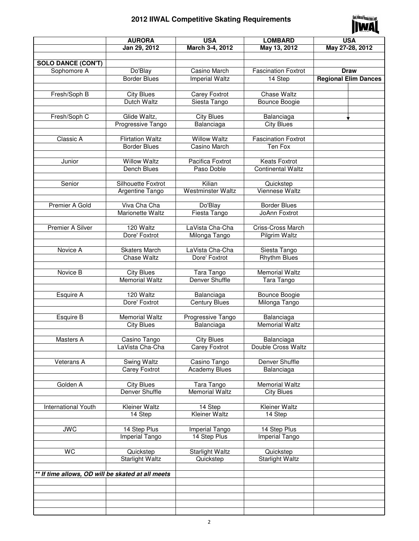# **2012 IIWAL Competitive Skating Requirements**



|                                                   | <b>AURORA</b>                              | <b>USA</b>                         | <b>LOMBARD</b>                 | <b>USA</b>                  |
|---------------------------------------------------|--------------------------------------------|------------------------------------|--------------------------------|-----------------------------|
|                                                   | Jan 29, 2012                               | March 3-4, 2012                    | May 13, 2012                   | May 27-28, 2012             |
|                                                   |                                            |                                    |                                |                             |
| <b>SOLO DANCE (CON'T)</b>                         |                                            |                                    |                                |                             |
| Sophomore A                                       | Do'Blay                                    | Casino March                       | <b>Fascination Foxtrot</b>     | <b>Draw</b>                 |
|                                                   | <b>Border Blues</b>                        | <b>Imperial Waltz</b>              | 14 Step                        | <b>Regional Elim Dances</b> |
|                                                   |                                            |                                    |                                |                             |
| Fresh/Soph B                                      | <b>City Blues</b>                          | <b>Carey Foxtrot</b>               | Chase Waltz                    |                             |
|                                                   | Dutch Waltz                                | Siesta Tango                       | Bounce Boogie                  |                             |
|                                                   |                                            |                                    |                                |                             |
| Fresh/Soph C                                      | Glide Waltz,                               | <b>City Blues</b>                  | Balanciaga                     |                             |
|                                                   | Progressive Tango                          | Balanciaga                         | <b>City Blues</b>              |                             |
|                                                   |                                            |                                    |                                |                             |
| Classic A                                         | <b>Flirtation Waltz</b>                    | <b>Willow Waltz</b>                | <b>Fascination Foxtrot</b>     |                             |
|                                                   | <b>Border Blues</b>                        | Casino March                       | Ten Fox                        |                             |
|                                                   |                                            |                                    |                                |                             |
| Junior                                            | <b>Willow Waltz</b>                        | Pacifica Foxtrot                   | <b>Keats Foxtrot</b>           |                             |
|                                                   | Dench Blues                                | Paso Doble                         | <b>Continental Waltz</b>       |                             |
|                                                   |                                            |                                    |                                |                             |
| Senior                                            | Silhouette Foxtrot                         | Kilian                             | Quickstep                      |                             |
|                                                   | Argentine Tango                            | <b>Westminster Waltz</b>           | <b>Viennese Waltz</b>          |                             |
|                                                   |                                            |                                    |                                |                             |
| Premier A Gold                                    | Viva Cha Cha                               | Do'Blay                            | <b>Border Blues</b>            |                             |
|                                                   | Marionette Waltz                           | Fiesta Tango                       | JoAnn Foxtrot                  |                             |
|                                                   |                                            |                                    |                                |                             |
| Premier A Silver                                  | 120 Waltz                                  | LaVista Cha-Cha                    | Criss-Cross March              |                             |
|                                                   | Dore' Foxtrot                              | Milonga Tango                      | Pilgrim Waltz                  |                             |
|                                                   |                                            |                                    |                                |                             |
| Novice A                                          | <b>Skaters March</b>                       | LaVista Cha-Cha                    | Siesta Tango                   |                             |
|                                                   | <b>Chase Waltz</b>                         | Dore' Foxtrot                      | <b>Rhythm Blues</b>            |                             |
|                                                   |                                            |                                    |                                |                             |
| Novice B                                          | <b>City Blues</b><br><b>Memorial Waltz</b> | Tara Tango                         | <b>Memorial Waltz</b>          |                             |
|                                                   |                                            | Denver Shuffle                     | Tara Tango                     |                             |
|                                                   | 120 Waltz                                  |                                    |                                |                             |
| Esquire A                                         | Dore' Foxtrot                              | Balanciaga<br><b>Century Blues</b> | Bounce Boogie<br>Milonga Tango |                             |
|                                                   |                                            |                                    |                                |                             |
| Esquire B                                         | <b>Memorial Waltz</b>                      | <b>Progressive Tango</b>           | Balanciaga                     |                             |
|                                                   | <b>City Blues</b>                          | Balanciaga                         | Memorial Waltz                 |                             |
|                                                   |                                            |                                    |                                |                             |
| Masters A                                         | Casino Tango                               | <b>City Blues</b>                  | Balanciaga                     |                             |
|                                                   | LaVista Cha-Cha                            | Carey Foxtrot                      | Double Cross Waltz             |                             |
|                                                   |                                            |                                    |                                |                             |
| Veterans A                                        | Swing Waltz                                | Casino Tango                       | Denver Shuffle                 |                             |
|                                                   | Carey Foxtrot                              | <b>Academy Blues</b>               | Balanciaga                     |                             |
|                                                   |                                            |                                    |                                |                             |
| Golden A                                          | City Blues                                 | Tara Tango                         | <b>Memorial Waltz</b>          |                             |
|                                                   | Denver Shuffle                             | <b>Memorial Waltz</b>              | <b>City Blues</b>              |                             |
|                                                   |                                            |                                    |                                |                             |
| International Youth                               | Kleiner Waltz                              | 14 Step                            | Kleiner Waltz                  |                             |
|                                                   | 14 Step                                    | Kleiner Waltz                      | 14 Step                        |                             |
|                                                   |                                            |                                    |                                |                             |
| <b>JWC</b>                                        | 14 Step Plus                               | Imperial Tango                     | 14 Step Plus                   |                             |
|                                                   | Imperial Tango                             | 14 Step Plus                       | Imperial Tango                 |                             |
|                                                   |                                            |                                    |                                |                             |
| <b>WC</b>                                         | Quickstep                                  | Starlight Waltz                    | Quickstep                      |                             |
|                                                   | <b>Starlight Waltz</b>                     | Quickstep                          | <b>Starlight Waltz</b>         |                             |
|                                                   |                                            |                                    |                                |                             |
| ** If time allows, OD will be skated at all meets |                                            |                                    |                                |                             |
|                                                   |                                            |                                    |                                |                             |
|                                                   |                                            |                                    |                                |                             |
|                                                   |                                            |                                    |                                |                             |
|                                                   |                                            |                                    |                                |                             |
|                                                   |                                            |                                    |                                |                             |